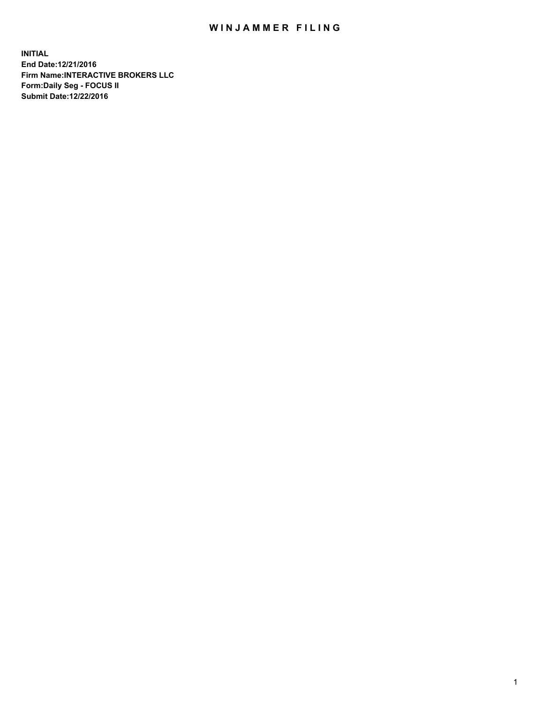## WIN JAMMER FILING

**INITIAL End Date:12/21/2016 Firm Name:INTERACTIVE BROKERS LLC Form:Daily Seg - FOCUS II Submit Date:12/22/2016**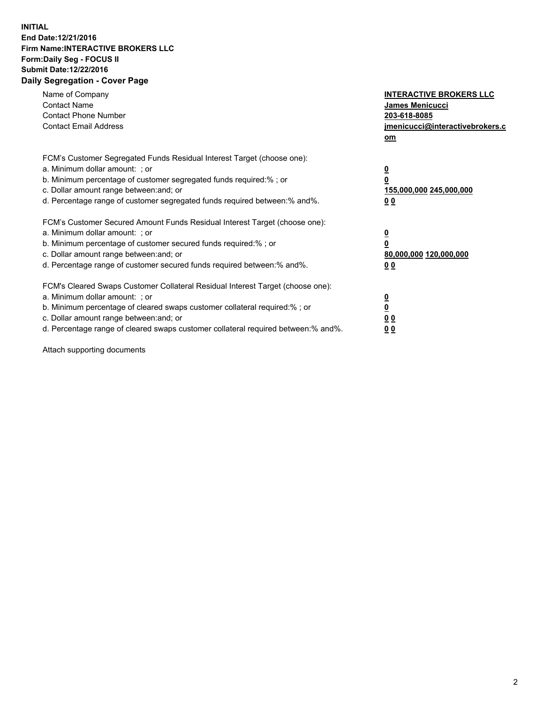## **INITIAL End Date:12/21/2016 Firm Name:INTERACTIVE BROKERS LLC Form:Daily Seg - FOCUS II Submit Date:12/22/2016 Daily Segregation - Cover Page**

| Name of Company<br><b>Contact Name</b><br><b>Contact Phone Number</b><br><b>Contact Email Address</b>                                                                                                                                                                                                                          | <b>INTERACTIVE BROKERS LLC</b><br>James Menicucci<br>203-618-8085<br><u>jmenicucci@interactivebrokers.c</u><br>om |
|--------------------------------------------------------------------------------------------------------------------------------------------------------------------------------------------------------------------------------------------------------------------------------------------------------------------------------|-------------------------------------------------------------------------------------------------------------------|
| FCM's Customer Segregated Funds Residual Interest Target (choose one):<br>a. Minimum dollar amount: ; or<br>b. Minimum percentage of customer segregated funds required:%; or<br>c. Dollar amount range between: and; or<br>d. Percentage range of customer segregated funds required between:% and%.                          | $\overline{\mathbf{0}}$<br>0<br>155,000,000 245,000,000<br>0 <sub>0</sub>                                         |
| FCM's Customer Secured Amount Funds Residual Interest Target (choose one):<br>a. Minimum dollar amount: ; or<br>b. Minimum percentage of customer secured funds required:%; or<br>c. Dollar amount range between: and; or<br>d. Percentage range of customer secured funds required between:% and%.                            | $\overline{\mathbf{0}}$<br>$\overline{\mathbf{0}}$<br>80,000,000 120,000,000<br>00                                |
| FCM's Cleared Swaps Customer Collateral Residual Interest Target (choose one):<br>a. Minimum dollar amount: ; or<br>b. Minimum percentage of cleared swaps customer collateral required:% ; or<br>c. Dollar amount range between: and; or<br>d. Percentage range of cleared swaps customer collateral required between:% and%. | $\overline{\mathbf{0}}$<br>$\overline{\mathbf{0}}$<br>0 <sub>0</sub><br><u>00</u>                                 |

Attach supporting documents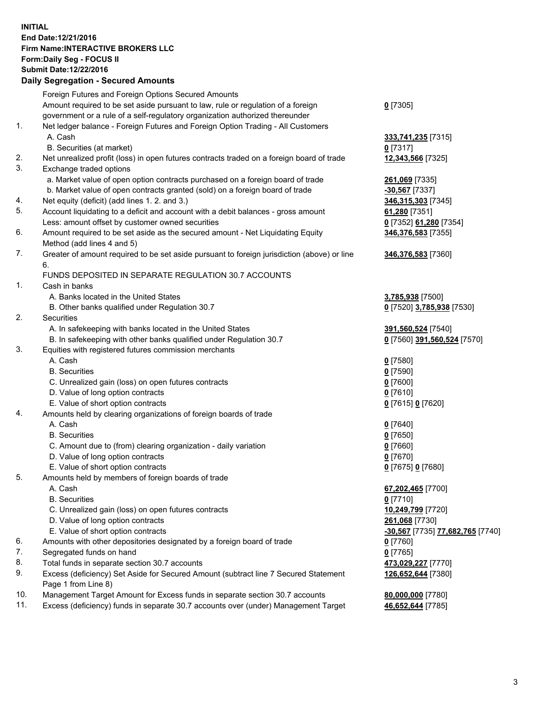## **INITIAL End Date:12/21/2016 Firm Name:INTERACTIVE BROKERS LLC Form:Daily Seg - FOCUS II Submit Date:12/22/2016 Daily Segregation - Secured Amounts**

|                | Daily Jegregation - Jeculed Aniounts                                                                       |                                  |
|----------------|------------------------------------------------------------------------------------------------------------|----------------------------------|
|                | Foreign Futures and Foreign Options Secured Amounts                                                        |                                  |
|                | Amount required to be set aside pursuant to law, rule or regulation of a foreign                           | $0$ [7305]                       |
|                | government or a rule of a self-regulatory organization authorized thereunder                               |                                  |
| 1.             | Net ledger balance - Foreign Futures and Foreign Option Trading - All Customers                            |                                  |
|                | A. Cash                                                                                                    | 333,741,235 [7315]               |
|                | B. Securities (at market)                                                                                  | 0 [7317]                         |
| 2.             | Net unrealized profit (loss) in open futures contracts traded on a foreign board of trade                  | 12,343,566 [7325]                |
| 3.             | Exchange traded options                                                                                    |                                  |
|                | a. Market value of open option contracts purchased on a foreign board of trade                             | 261,069 [7335]                   |
|                | b. Market value of open contracts granted (sold) on a foreign board of trade                               | $-30,567$ [7337]                 |
| 4.             | Net equity (deficit) (add lines 1.2. and 3.)                                                               | 346,315,303 [7345]               |
| 5.             | Account liquidating to a deficit and account with a debit balances - gross amount                          | 61,280 [7351]                    |
|                | Less: amount offset by customer owned securities                                                           | 0 [7352] 61,280 [7354]           |
| 6.             | Amount required to be set aside as the secured amount - Net Liquidating Equity                             | 346,376,583 [7355]               |
|                | Method (add lines 4 and 5)                                                                                 |                                  |
| 7.             | Greater of amount required to be set aside pursuant to foreign jurisdiction (above) or line                | 346,376,583 [7360]               |
|                | 6.                                                                                                         |                                  |
|                | FUNDS DEPOSITED IN SEPARATE REGULATION 30.7 ACCOUNTS                                                       |                                  |
| $\mathbf{1}$ . | Cash in banks                                                                                              |                                  |
|                | A. Banks located in the United States                                                                      | 3,785,938 [7500]                 |
|                | B. Other banks qualified under Regulation 30.7                                                             | 0 [7520] 3,785,938 [7530]        |
| 2.             | Securities                                                                                                 |                                  |
|                | A. In safekeeping with banks located in the United States                                                  | 391,560,524 [7540]               |
|                | B. In safekeeping with other banks qualified under Regulation 30.7                                         | 0 [7560] 391,560,524 [7570]      |
| 3.             | Equities with registered futures commission merchants                                                      |                                  |
|                | A. Cash                                                                                                    | $0$ [7580]                       |
|                | <b>B.</b> Securities                                                                                       | $0$ [7590]                       |
|                | C. Unrealized gain (loss) on open futures contracts                                                        | $0$ [7600]                       |
|                | D. Value of long option contracts                                                                          | $0$ [7610]                       |
|                | E. Value of short option contracts                                                                         | 0 [7615] 0 [7620]                |
| 4.             | Amounts held by clearing organizations of foreign boards of trade                                          |                                  |
|                | A. Cash                                                                                                    | $0$ [7640]                       |
|                | <b>B.</b> Securities                                                                                       | $0$ [7650]                       |
|                | C. Amount due to (from) clearing organization - daily variation                                            | $0$ [7660]                       |
|                | D. Value of long option contracts                                                                          | $0$ [7670]                       |
|                | E. Value of short option contracts                                                                         | 0 [7675] 0 [7680]                |
| 5.             | Amounts held by members of foreign boards of trade                                                         |                                  |
|                | A. Cash                                                                                                    | 67,202,465 [7700]                |
|                | <b>B.</b> Securities                                                                                       | $0$ [7710]                       |
|                | C. Unrealized gain (loss) on open futures contracts                                                        | 10,249,799 [7720]                |
|                | D. Value of long option contracts                                                                          | 261,068 [7730]                   |
|                | E. Value of short option contracts                                                                         | -30,567 [7735] 77,682,765 [7740] |
| 6.             | Amounts with other depositories designated by a foreign board of trade                                     | 0 [7760]                         |
| 7.             | Segregated funds on hand                                                                                   | $0$ [7765]                       |
| 8.             | Total funds in separate section 30.7 accounts                                                              | 473,029,227 [7770]               |
| 9.             | Excess (deficiency) Set Aside for Secured Amount (subtract line 7 Secured Statement<br>Page 1 from Line 8) | 126,652,644 [7380]               |
| 10.            | Management Target Amount for Excess funds in separate section 30.7 accounts                                | 80,000,000 [7780]                |
| 11.            | Excess (deficiency) funds in separate 30.7 accounts over (under) Management Target                         | 46,652,644 [7785]                |
|                |                                                                                                            |                                  |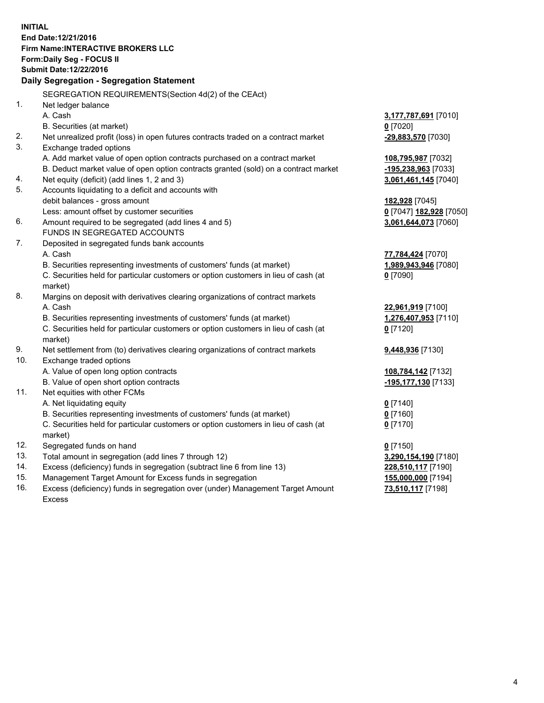**INITIAL End Date:12/21/2016 Firm Name:INTERACTIVE BROKERS LLC Form:Daily Seg - FOCUS II Submit Date:12/22/2016 Daily Segregation - Segregation Statement** SEGREGATION REQUIREMENTS(Section 4d(2) of the CEAct) 1. Net ledger balance A. Cash **3,177,787,691** [7010] B. Securities (at market) **0** [7020] 2. Net unrealized profit (loss) in open futures contracts traded on a contract market **-29,883,570** [7030] 3. Exchange traded options A. Add market value of open option contracts purchased on a contract market **108,795,987** [7032] B. Deduct market value of open option contracts granted (sold) on a contract market **-195,238,963** [7033] 4. Net equity (deficit) (add lines 1, 2 and 3) **3,061,461,145** [7040] 5. Accounts liquidating to a deficit and accounts with debit balances - gross amount **182,928** [7045] Less: amount offset by customer securities **0** [7047] **182,928** [7050] 6. Amount required to be segregated (add lines 4 and 5) **3,061,644,073** [7060] FUNDS IN SEGREGATED ACCOUNTS 7. Deposited in segregated funds bank accounts A. Cash **77,784,424** [7070] B. Securities representing investments of customers' funds (at market) **1,989,943,946** [7080] C. Securities held for particular customers or option customers in lieu of cash (at market) **0** [7090] 8. Margins on deposit with derivatives clearing organizations of contract markets A. Cash **22,961,919** [7100] B. Securities representing investments of customers' funds (at market) **1,276,407,953** [7110] C. Securities held for particular customers or option customers in lieu of cash (at market) **0** [7120] 9. Net settlement from (to) derivatives clearing organizations of contract markets **9,448,936** [7130] 10. Exchange traded options A. Value of open long option contracts **108,784,142** [7132] B. Value of open short option contracts **-195,177,130** [7133] 11. Net equities with other FCMs A. Net liquidating equity **0** [7140] B. Securities representing investments of customers' funds (at market) **0** [7160] C. Securities held for particular customers or option customers in lieu of cash (at market) **0** [7170] 12. Segregated funds on hand **0** [7150] 13. Total amount in segregation (add lines 7 through 12) **3,290,154,190** [7180] 14. Excess (deficiency) funds in segregation (subtract line 6 from line 13) **228,510,117** [7190] 15. Management Target Amount for Excess funds in segregation **155,000,000** [7194] **73,510,117** [7198]

16. Excess (deficiency) funds in segregation over (under) Management Target Amount Excess

4